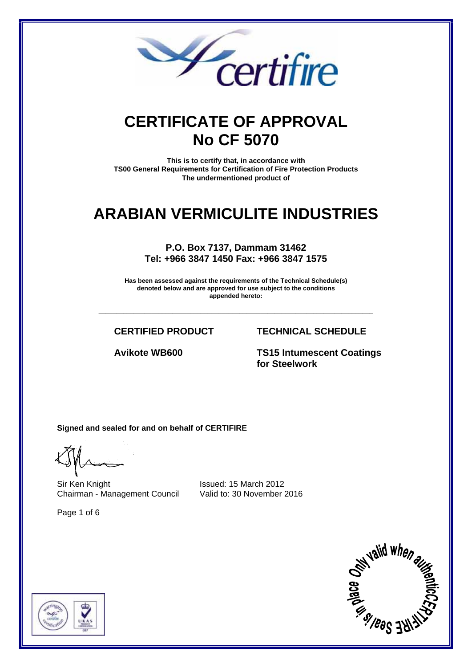

## **CERTIFICATE OF APPROVAL No CF 5070**

**This is to certify that, in accordance with TS00 General Requirements for Certification of Fire Protection Products The undermentioned product of**

## **ARABIAN VERMICULITE INDUSTRIES**

**P.O. Box 7137, Dammam 31462 Tel: +966 3847 1450 Fax: +966 3847 1575** 

**Has been assessed against the requirements of the Technical Schedule(s) denoted below and are approved for use subject to the conditions appended hereto:** 

**\_\_\_\_\_\_\_\_\_\_\_\_\_\_\_\_\_\_\_\_\_\_\_\_\_\_\_\_\_\_\_\_\_\_\_\_\_\_\_\_\_\_\_\_\_\_\_\_\_\_\_\_\_\_\_\_\_\_\_\_\_\_\_\_\_\_\_\_\_\_\_\_\_\_\_\_\_\_**

#### **CERTIFIED PRODUCT TECHNICAL SCHEDULE**

**Avikote WB600 TS15 Intumescent Coatings for Steelwork** 

**Signed and sealed for and on behalf of CERTIFIRE** 

Sir Ken Knight **Issued: 15 March 2012** Chairman - Management Council Valid to: 30 November 2016

Page 1 of 6



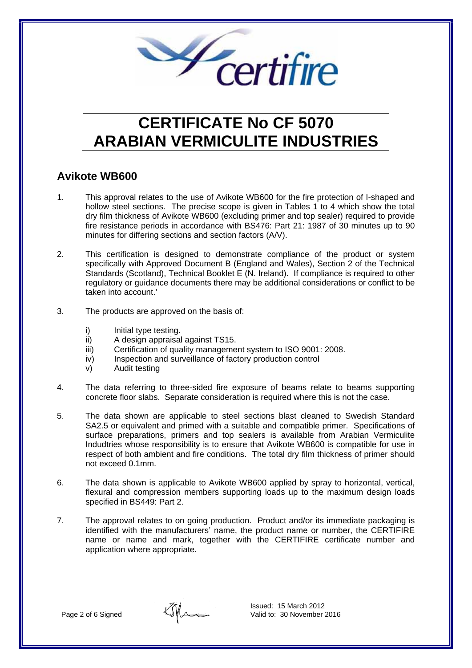

#### **Avikote WB600**

- 1. This approval relates to the use of Avikote WB600 for the fire protection of I-shaped and hollow steel sections. The precise scope is given in Tables 1 to 4 which show the total dry film thickness of Avikote WB600 (excluding primer and top sealer) required to provide fire resistance periods in accordance with BS476: Part 21: 1987 of 30 minutes up to 90 minutes for differing sections and section factors (A/V).
- 2. This certification is designed to demonstrate compliance of the product or system specifically with Approved Document B (England and Wales), Section 2 of the Technical Standards (Scotland), Technical Booklet E (N. Ireland). If compliance is required to other regulatory or guidance documents there may be additional considerations or conflict to be taken into account.'
- 3. The products are approved on the basis of:
	- i) Initial type testing.
	- ii) A design appraisal against TS15.
	- iii) Certification of quality management system to ISO 9001: 2008.
	- iv) Inspection and surveillance of factory production control
	- v) Audit testing
- 4. The data referring to three-sided fire exposure of beams relate to beams supporting concrete floor slabs. Separate consideration is required where this is not the case.
- 5. The data shown are applicable to steel sections blast cleaned to Swedish Standard SA2.5 or equivalent and primed with a suitable and compatible primer. Specifications of surface preparations, primers and top sealers is available from Arabian Vermiculite Indudtries whose responsibility is to ensure that Avikote WB600 is compatible for use in respect of both ambient and fire conditions. The total dry film thickness of primer should not exceed 0.1mm.
- 6. The data shown is applicable to Avikote WB600 applied by spray to horizontal, vertical, flexural and compression members supporting loads up to the maximum design loads specified in BS449: Part 2.
- 7. The approval relates to on going production. Product and/or its immediate packaging is identified with the manufacturers' name, the product name or number, the CERTIFIRE name or name and mark, together with the CERTIFIRE certificate number and application where appropriate.

Ilm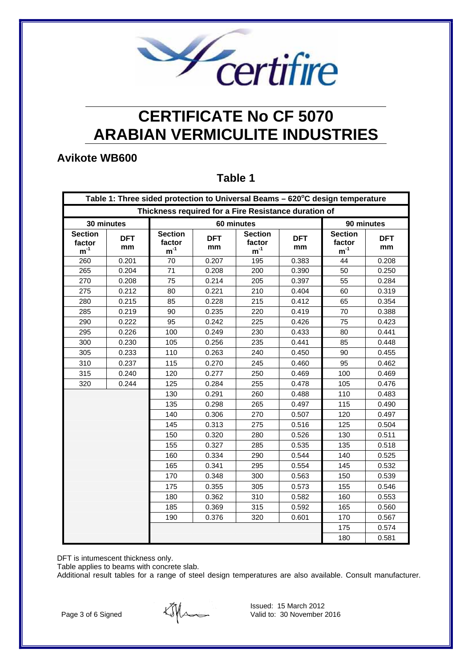

### **Avikote WB600**

#### **Table 1**

| Table 1: Three sided protection to Universal Beams - 620°C design temperature |                  |                                      |                  |                                      |                  |                                      |                  |
|-------------------------------------------------------------------------------|------------------|--------------------------------------|------------------|--------------------------------------|------------------|--------------------------------------|------------------|
| Thickness required for a Fire Resistance duration of                          |                  |                                      |                  |                                      |                  |                                      |                  |
| 30 minutes                                                                    |                  | 60 minutes                           |                  |                                      |                  | 90 minutes                           |                  |
| <b>Section</b><br>factor<br>$m^{-1}$                                          | <b>DFT</b><br>mm | <b>Section</b><br>factor<br>$m^{-1}$ | <b>DFT</b><br>mm | <b>Section</b><br>factor<br>$m^{-1}$ | <b>DFT</b><br>mm | <b>Section</b><br>factor<br>$m^{-1}$ | <b>DFT</b><br>mm |
| 260                                                                           | 0.201            | 70                                   | 0.207            | 195                                  | 0.383            | 44                                   | 0.208            |
| 265                                                                           | 0.204            | 71                                   | 0.208            | 200                                  | 0.390            | 50                                   | 0.250            |
| 270                                                                           | 0.208            | 75                                   | 0.214            | 205                                  | 0.397            | 55                                   | 0.284            |
| 275                                                                           | 0.212            | 80                                   | 0.221            | 210                                  | 0.404            | 60                                   | 0.319            |
| 280                                                                           | 0.215            | 85                                   | 0.228            | 215                                  | 0.412            | 65                                   | 0.354            |
| 285                                                                           | 0.219            | 90                                   | 0.235            | 220                                  | 0.419            | 70                                   | 0.388            |
| 290                                                                           | 0.222            | 95                                   | 0.242            | 225                                  | 0.426            | 75                                   | 0.423            |
| 295                                                                           | 0.226            | 100                                  | 0.249            | 230                                  | 0.433            | 80                                   | 0.441            |
| 300                                                                           | 0.230            | 105                                  | 0.256            | 235                                  | 0.441            | 85                                   | 0.448            |
| 305                                                                           | 0.233            | 110                                  | 0.263            | 240                                  | 0.450            | 90                                   | 0.455            |
| 310                                                                           | 0.237            | 115                                  | 0.270            | 245                                  | 0.460            | 95                                   | 0.462            |
| 315                                                                           | 0.240            | 120                                  | 0.277            | 250                                  | 0.469            | 100                                  | 0.469            |
| 320                                                                           | 0.244            | 125                                  | 0.284            | 255                                  | 0.478            | 105                                  | 0.476            |
|                                                                               |                  | 130                                  | 0.291            | 260                                  | 0.488            | 110                                  | 0.483            |
|                                                                               |                  | 135                                  | 0.298            | 265                                  | 0.497            | 115                                  | 0.490            |
|                                                                               |                  | 140                                  | 0.306            | 270                                  | 0.507            | 120                                  | 0.497            |
|                                                                               |                  | 145                                  | 0.313            | 275                                  | 0.516            | 125                                  | 0.504            |
|                                                                               |                  | 150                                  | 0.320            | 280                                  | 0.526            | 130                                  | 0.511            |
|                                                                               |                  | 155                                  | 0.327            | 285                                  | 0.535            | 135                                  | 0.518            |
|                                                                               |                  | 160                                  | 0.334            | 290                                  | 0.544            | 140                                  | 0.525            |
|                                                                               |                  | 165                                  | 0.341            | 295                                  | 0.554            | 145                                  | 0.532            |
|                                                                               |                  | 170                                  | 0.348            | 300                                  | 0.563            | 150                                  | 0.539            |
|                                                                               |                  | 175                                  | 0.355            | 305                                  | 0.573            | 155                                  | 0.546            |
|                                                                               |                  | 180                                  | 0.362            | 310                                  | 0.582            | 160                                  | 0.553            |
|                                                                               |                  | 185                                  | 0.369            | 315                                  | 0.592            | 165                                  | 0.560            |
|                                                                               |                  | 190                                  | 0.376            | 320                                  | 0.601            | 170                                  | 0.567            |
|                                                                               |                  |                                      |                  |                                      |                  | 175                                  | 0.574            |
|                                                                               |                  |                                      |                  |                                      |                  | 180                                  | 0.581            |

DFT is intumescent thickness only.

Table applies to beams with concrete slab.

Additional result tables for a range of steel design temperatures are also available. Consult manufacturer.

Page 3 of 6 Signed

Ethe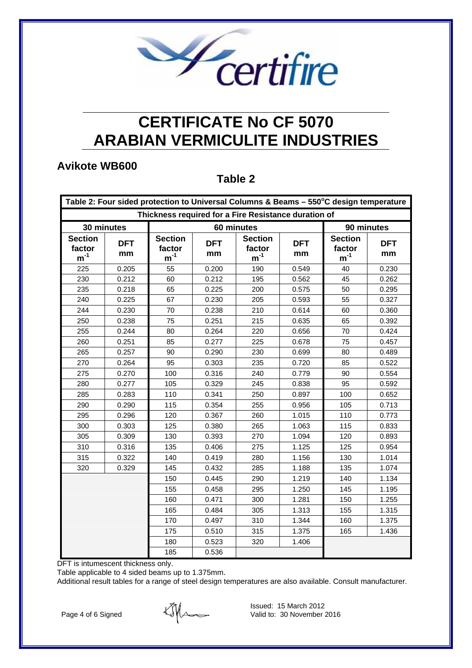

### **Avikote WB600**

#### **Table 2**

| Table 2: Four sided protection to Universal Columns & Beams - 550°C design temperature |                  |                                      |                  |                                      |                  |                                      |                  |
|----------------------------------------------------------------------------------------|------------------|--------------------------------------|------------------|--------------------------------------|------------------|--------------------------------------|------------------|
| Thickness required for a Fire Resistance duration of                                   |                  |                                      |                  |                                      |                  |                                      |                  |
| 30 minutes                                                                             |                  | 60 minutes                           |                  |                                      |                  | 90 minutes                           |                  |
| <b>Section</b><br>factor<br>$m^{-1}$                                                   | <b>DFT</b><br>mm | <b>Section</b><br>factor<br>$m^{-1}$ | <b>DFT</b><br>mm | <b>Section</b><br>factor<br>$m^{-1}$ | <b>DFT</b><br>mm | <b>Section</b><br>factor<br>$m^{-1}$ | <b>DFT</b><br>mm |
| 225                                                                                    | 0.205            | 55                                   | 0.200            | 190                                  | 0.549            | 40                                   | 0.230            |
| 230                                                                                    | 0.212            | 60                                   | 0.212            | 195                                  | 0.562            | 45                                   | 0.262            |
| 235                                                                                    | 0.218            | 65                                   | 0.225            | 200                                  | 0.575            | 50                                   | 0.295            |
| 240                                                                                    | 0.225            | 67                                   | 0.230            | 205                                  | 0.593            | 55                                   | 0.327            |
| 244                                                                                    | 0.230            | 70                                   | 0.238            | 210                                  | 0.614            | 60                                   | 0.360            |
| 250                                                                                    | 0.238            | 75                                   | 0.251            | 215                                  | 0.635            | 65                                   | 0.392            |
| 255                                                                                    | 0.244            | 80                                   | 0.264            | 220                                  | 0.656            | 70                                   | 0.424            |
| 260                                                                                    | 0.251            | 85                                   | 0.277            | 225                                  | 0.678            | 75                                   | 0.457            |
| 265                                                                                    | 0.257            | 90                                   | 0.290            | 230                                  | 0.699            | 80                                   | 0.489            |
| 270                                                                                    | 0.264            | 95                                   | 0.303            | 235                                  | 0.720            | 85                                   | 0.522            |
| 275                                                                                    | 0.270            | 100                                  | 0.316            | 240                                  | 0.779            | 90                                   | 0.554            |
| 280                                                                                    | 0.277            | 105                                  | 0.329            | 245                                  | 0.838            | 95                                   | 0.592            |
| 285                                                                                    | 0.283            | 110                                  | 0.341            | 250                                  | 0.897            | 100                                  | 0.652            |
| 290                                                                                    | 0.290            | 115                                  | 0.354            | 255                                  | 0.956            | 105                                  | 0.713            |
| 295                                                                                    | 0.296            | 120                                  | 0.367            | 260                                  | 1.015            | 110                                  | 0.773            |
| 300                                                                                    | 0.303            | 125                                  | 0.380            | 265                                  | 1.063            | 115                                  | 0.833            |
| 305                                                                                    | 0.309            | 130                                  | 0.393            | 270                                  | 1.094            | 120                                  | 0.893            |
| 310                                                                                    | 0.316            | 135                                  | 0.406            | 275                                  | 1.125            | 125                                  | 0.954            |
| 315                                                                                    | 0.322            | 140                                  | 0.419            | 280                                  | 1.156            | 130                                  | 1.014            |
| 320                                                                                    | 0.329            | 145                                  | 0.432            | 285                                  | 1.188            | 135                                  | 1.074            |
|                                                                                        |                  | 150                                  | 0.445            | 290                                  | 1.219            | 140                                  | 1.134            |
|                                                                                        |                  | 155                                  | 0.458            | 295                                  | 1.250            | 145                                  | 1.195            |
|                                                                                        |                  | 160                                  | 0.471            | 300                                  | 1.281            | 150                                  | 1.255            |
|                                                                                        |                  | 165                                  | 0.484            | 305                                  | 1.313            | 155                                  | 1.315            |
|                                                                                        |                  | 170                                  | 0.497            | 310                                  | 1.344            | 160                                  | 1.375            |
|                                                                                        |                  | 175                                  | 0.510            | 315                                  | 1.375            | 165                                  | 1.436            |
|                                                                                        |                  | 180                                  | 0.523            | 320                                  | 1.406            |                                      |                  |
|                                                                                        |                  | 185                                  | 0.536            |                                      |                  |                                      |                  |

DFT is intumescent thickness only.

Table applicable to 4 sided beams up to 1.375mm.

Additional result tables for a range of steel design temperatures are also available. Consult manufacturer.

Page 4 of 6 Signed

The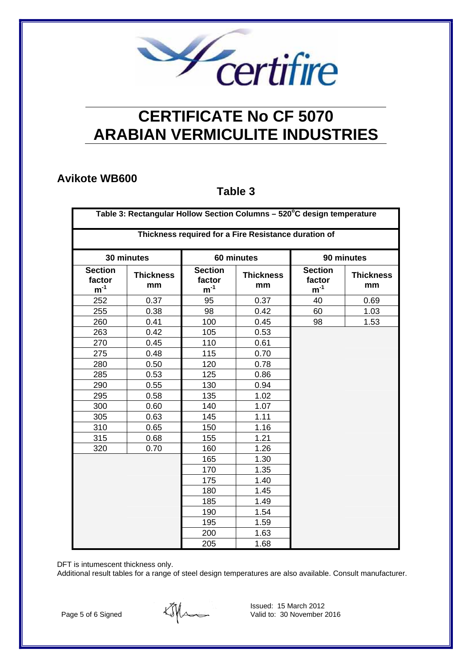

### **Avikote WB600**

#### **Table 3**

| Table 3: Rectangular Hollow Section Columns - 520°C design temperature |                        |                                      |                        |                                      |                        |  |  |
|------------------------------------------------------------------------|------------------------|--------------------------------------|------------------------|--------------------------------------|------------------------|--|--|
| Thickness required for a Fire Resistance duration of                   |                        |                                      |                        |                                      |                        |  |  |
|                                                                        | 30 minutes             |                                      | 60 minutes             | 90 minutes                           |                        |  |  |
| <b>Section</b><br>factor<br>$m^{-1}$                                   | <b>Thickness</b><br>mm | <b>Section</b><br>factor<br>$m^{-1}$ | <b>Thickness</b><br>mm | <b>Section</b><br>factor<br>$m^{-1}$ | <b>Thickness</b><br>mm |  |  |
| 252                                                                    | 0.37                   | 95                                   | 0.37                   | 40                                   | 0.69                   |  |  |
| 255                                                                    | 0.38                   | 98                                   | 0.42                   | 60                                   | 1.03                   |  |  |
| 260                                                                    | 0.41                   | 100                                  | 0.45                   | 98                                   | 1.53                   |  |  |
| 263                                                                    | 0.42                   | 105                                  | 0.53                   |                                      |                        |  |  |
| 270                                                                    | 0.45                   | 110                                  | 0.61                   |                                      |                        |  |  |
| 275                                                                    | 0.48                   | 115                                  | 0.70                   |                                      |                        |  |  |
| 280                                                                    | 0.50                   | 120                                  | 0.78                   |                                      |                        |  |  |
| 285                                                                    | 0.53                   | 125                                  | 0.86                   |                                      |                        |  |  |
| 290                                                                    | 0.55                   | 130                                  | 0.94                   |                                      |                        |  |  |
| 295                                                                    | 0.58                   | 135                                  | 1.02                   |                                      |                        |  |  |
| 300                                                                    | 0.60                   | 140                                  | 1.07                   |                                      |                        |  |  |
| 305                                                                    | 0.63                   | 145                                  | 1.11                   |                                      |                        |  |  |
| 310                                                                    | 0.65                   | 150                                  | 1.16                   |                                      |                        |  |  |
| 315                                                                    | 0.68                   | 155                                  | 1.21                   |                                      |                        |  |  |
| 320                                                                    | 0.70                   | 160                                  | 1.26                   |                                      |                        |  |  |
|                                                                        |                        | 165                                  | 1.30                   |                                      |                        |  |  |
|                                                                        |                        | 170                                  | 1.35                   |                                      |                        |  |  |
|                                                                        |                        | 175                                  | 1.40                   |                                      |                        |  |  |
|                                                                        |                        | 180                                  | 1.45                   |                                      |                        |  |  |
|                                                                        |                        | 185                                  | 1.49                   |                                      |                        |  |  |
|                                                                        |                        | 190                                  | 1.54                   |                                      |                        |  |  |
|                                                                        |                        | 195                                  | 1.59                   |                                      |                        |  |  |
|                                                                        |                        | 200                                  | 1.63                   |                                      |                        |  |  |
|                                                                        |                        | 205                                  | 1.68                   |                                      |                        |  |  |

DFT is intumescent thickness only.

Additional result tables for a range of steel design temperatures are also available. Consult manufacturer.

Page 5 of 6 Signed

tiffen